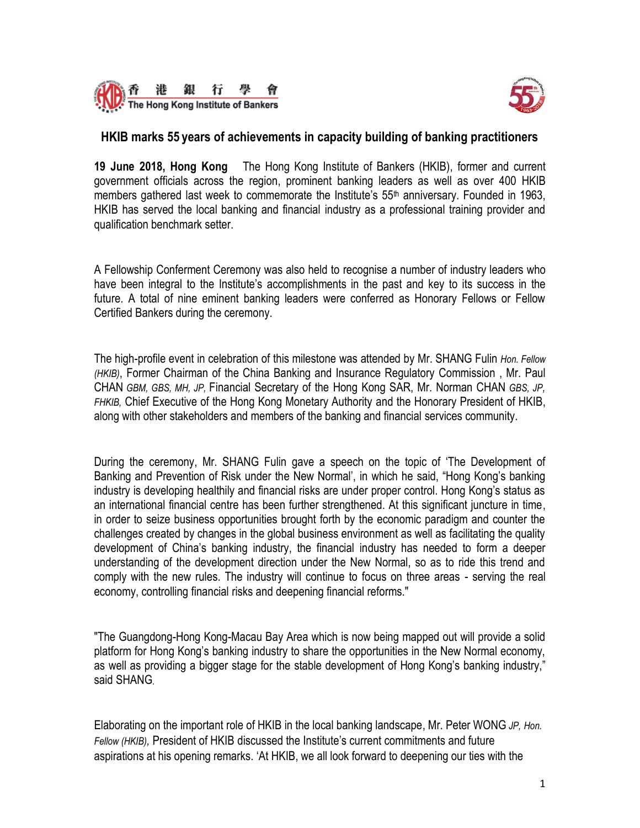



### **HKIB marks 55 years of achievements in capacity building of banking practitioners**

**19 June 2018, Hong Kong** The Hong Kong Institute of Bankers (HKIB), former and current government officials across the region, prominent banking leaders as well as over 400 HKIB members gathered last week to commemorate the Institute's  $55<sup>th</sup>$  anniversary. Founded in 1963, HKIB has served the local banking and financial industry as a professional training provider and qualification benchmark setter.

A Fellowship Conferment Ceremony was also held to recognise a number of industry leaders who have been integral to the Institute's accomplishments in the past and key to its success in the future. A total of nine eminent banking leaders were conferred as Honorary Fellows or Fellow Certified Bankers during the ceremony.

The high-profile event in celebration of this milestone was attended by Mr. SHANG Fulin *Hon. Fellow (HKIB)*, Former Chairman of the China Banking and Insurance Regulatory Commission , Mr. Paul CHAN *GBM, GBS, MH, JP,* Financial Secretary of the Hong Kong SAR, Mr. Norman CHAN *GBS, JP, FHKIB,* Chief Executive of the Hong Kong Monetary Authority and the Honorary President of HKIB, along with other stakeholders and members of the banking and financial services community.

During the ceremony, Mr. SHANG Fulin gave a speech on the topic of 'The Development of Banking and Prevention of Risk under the New Normal', in which he said, "Hong Kong's banking industry is developing healthily and financial risks are under proper control. Hong Kong's status as an international financial centre has been further strengthened. At this significant juncture in time, in order to seize business opportunities brought forth by the economic paradigm and counter the challenges created by changes in the global business environment as well as facilitating the quality development of China's banking industry, the financial industry has needed to form a deeper understanding of the development direction under the New Normal, so as to ride this trend and comply with the new rules. The industry will continue to focus on three areas - serving the real economy, controlling financial risks and deepening financial reforms."

"The Guangdong-Hong Kong-Macau Bay Area which is now being mapped out will provide a solid platform for Hong Kong's banking industry to share the opportunities in the New Normal economy, as well as providing a bigger stage for the stable development of Hong Kong's banking industry," said SHANG.

Elaborating on the important role of HKIB in the local banking landscape, Mr. Peter WONG *JP, Hon. Fellow (HKIB),* President of HKIB discussed the Institute's current commitments and future aspirations at his opening remarks. 'At HKIB, we all look forward to deepening our ties with the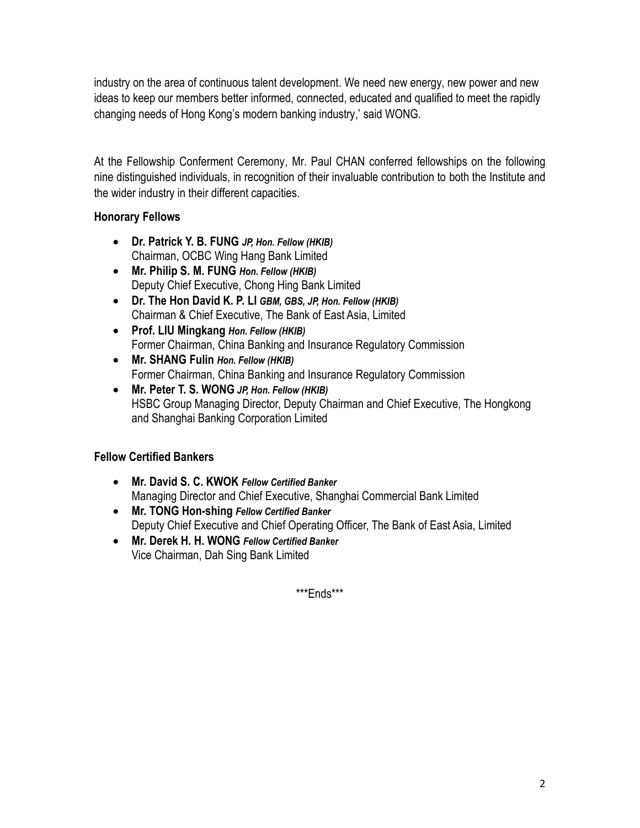industry on the area of continuous talent development. We need new energy, new power and new ideas to keep our members better informed, connected, educated and qualified to meet the rapidly changing needs of Hong Kong's modern banking industry,' said WONG.

At the Fellowship Conferment Ceremony, Mr. Paul CHAN conferred fellowships on the following nine distinguished individuals, in recognition of their invaluable contribution to both the Institute and the wider industry in their different capacities.

# **Honorary Fellows**

- **Dr. Patrick Y. B. FUNG** *JP, Hon. Fellow (HKIB)* Chairman, OCBC Wing Hang Bank Limited
- **Mr. Philip S. M. FUNG** *Hon. Fellow (HKIB)* Deputy Chief Executive, Chong Hing Bank Limited
- **Dr. The Hon David K. P. LI** *GBM, GBS, JP, Hon. Fellow (HKIB)* Chairman & Chief Executive, The Bank of East Asia, Limited
- **Prof. LIU Mingkang** *Hon. Fellow (HKIB)* Former Chairman, China Banking and Insurance Regulatory Commission
- **Mr. SHANG Fulin** *Hon. Fellow (HKIB)* Former Chairman, China Banking and Insurance Regulatory Commission
- **Mr. Peter T. S. WONG** *JP, Hon. Fellow (HKIB)* HSBC Group Managing Director, Deputy Chairman and Chief Executive, The Hongkong and Shanghai Banking Corporation Limited

# **Fellow Certified Bankers**

- **Mr. David S. C. KWOK** *Fellow Certified Banker* Managing Director and Chief Executive, Shanghai Commercial Bank Limited
- **Mr. TONG Hon-shing** *Fellow Certified Banker* Deputy Chief Executive and Chief Operating Officer, The Bank of East Asia, Limited
- **Mr. Derek H. H. WONG** *Fellow Certified Banker* Vice Chairman, Dah Sing Bank Limited

\*\*\*Ends\*\*\*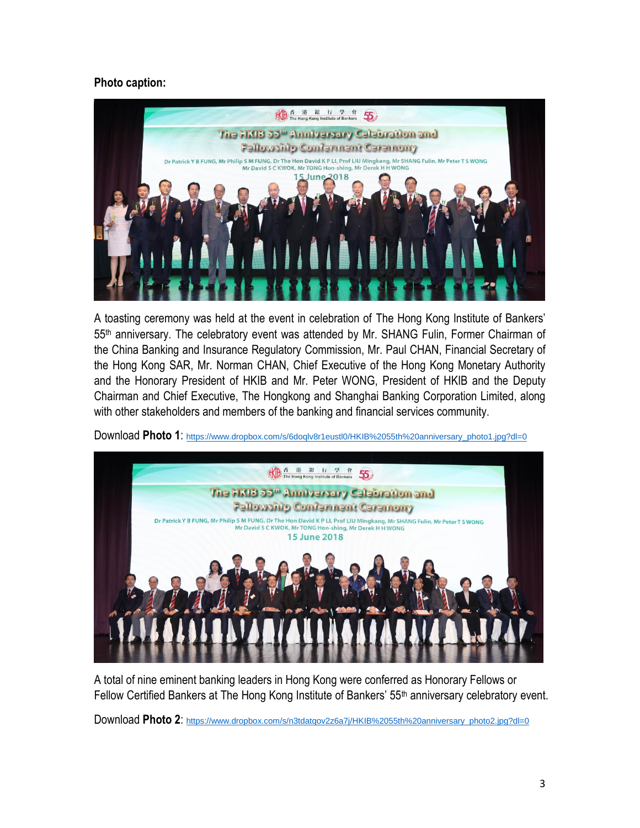# **Photo caption:**



A toasting ceremony was held at the event in celebration of The Hong Kong Institute of Bankers' 55<sup>th</sup> anniversary. The celebratory event was attended by Mr. SHANG Fulin, Former Chairman of the China Banking and Insurance Regulatory Commission, Mr. Paul CHAN, Financial Secretary of the Hong Kong SAR, Mr. Norman CHAN, Chief Executive of the Hong Kong Monetary Authority and the Honorary President of HKIB and Mr. Peter WONG, President of HKIB and the Deputy Chairman and Chief Executive, The Hongkong and Shanghai Banking Corporation Limited, along with other stakeholders and members of the banking and financial services community.





A total of nine eminent banking leaders in Hong Kong were conferred as Honorary Fellows or Fellow Certified Bankers at The Hong Kong Institute of Bankers' 55<sup>th</sup> anniversary celebratory event.

Download Photo 2: [https://www.dropbox.com/s/n3tdatqov2z6a7j/HKIB%2055th%20anniversary\\_photo2.jpg?dl=0](https://www.dropbox.com/s/n3tdatqov2z6a7j/HKIB%2055th%20anniversary_photo2.jpg?dl=0)